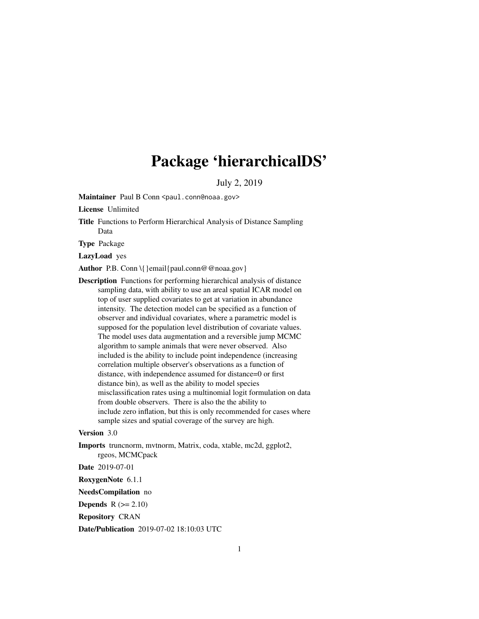# Package 'hierarchicalDS'

July 2, 2019

Maintainer Paul B Conn <paul.conn@noaa.gov>

License Unlimited

Title Functions to Perform Hierarchical Analysis of Distance Sampling Data

Type Package

LazyLoad yes

Author P.B. Conn \{ }email{paul.conn@@noaa.gov}

Description Functions for performing hierarchical analysis of distance sampling data, with ability to use an areal spatial ICAR model on top of user supplied covariates to get at variation in abundance intensity. The detection model can be specified as a function of observer and individual covariates, where a parametric model is supposed for the population level distribution of covariate values. The model uses data augmentation and a reversible jump MCMC algorithm to sample animals that were never observed. Also included is the ability to include point independence (increasing correlation multiple observer's observations as a function of distance, with independence assumed for distance=0 or first distance bin), as well as the ability to model species misclassification rates using a multinomial logit formulation on data from double observers. There is also the the ability to include zero inflation, but this is only recommended for cases where sample sizes and spatial coverage of the survey are high.

#### Version 3.0

Imports truncnorm, mvtnorm, Matrix, coda, xtable, mc2d, ggplot2, rgeos, MCMCpack

Date 2019-07-01

RoxygenNote 6.1.1

NeedsCompilation no

**Depends**  $R$  ( $>= 2.10$ )

Repository CRAN

Date/Publication 2019-07-02 18:10:03 UTC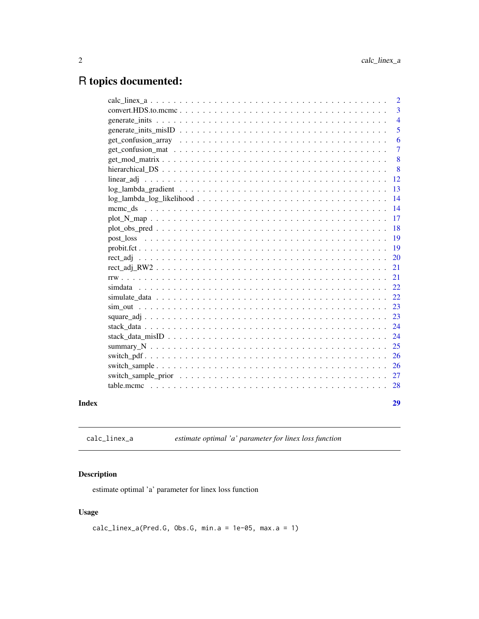## <span id="page-1-0"></span>R topics documented:

|       | $\overline{2}$ |
|-------|----------------|
|       | 3              |
|       | $\overline{4}$ |
|       | 5              |
|       | 6              |
|       | $\overline{7}$ |
|       | 8              |
|       | 8              |
|       | 12             |
|       | 13             |
|       | 14             |
|       | 14             |
|       | 17             |
|       | 18             |
|       | 19             |
|       | 19             |
|       | 20             |
|       | 21             |
|       | 21             |
|       | 22             |
|       | -22            |
|       | 23             |
|       | 23             |
|       | 24             |
|       | 24             |
|       | 25             |
|       | 26             |
|       | 26             |
|       | 27             |
|       |                |
| Index | 29             |

calc\_linex\_a *estimate optimal 'a' parameter for linex loss function*

### Description

estimate optimal 'a' parameter for linex loss function

#### Usage

```
calc_linex_a(Pred.G, Obs.G, min.a = 1e-05, max.a = 1)
```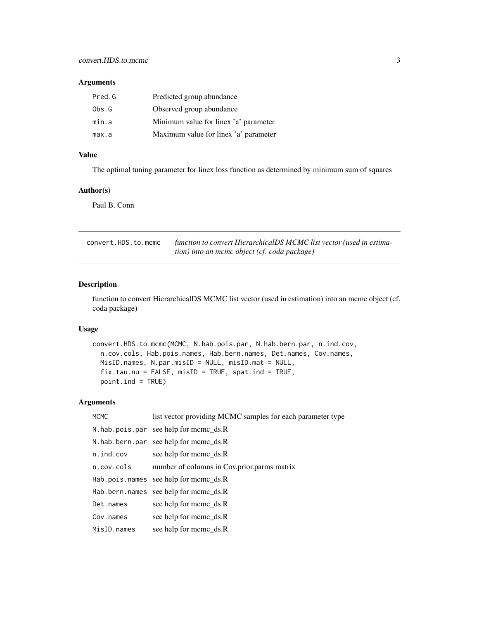#### <span id="page-2-0"></span>Arguments

| Pred.G | Predicted group abundance             |
|--------|---------------------------------------|
| Obs.G  | Observed group abundance              |
| min.a  | Minimum value for linex 'a' parameter |
| max.a  | Maximum value for linex 'a' parameter |

#### Value

The optimal tuning parameter for linex loss function as determined by minimum sum of squares

#### Author(s)

Paul B. Conn

| convert.HDS.to.mcmc | function to convert HierarchicalDS MCMC list vector (used in estima- |
|---------------------|----------------------------------------------------------------------|
|                     | tion) into an mcmc object (cf. coda package)                         |

#### Description

function to convert HierarchicalDS MCMC list vector (used in estimation) into an mcmc object (cf. coda package)

#### Usage

```
convert.HDS.to.mcmc(MCMC, N.hab.pois.par, N.hab.bern.par, n.ind.cov,
n.cov.cols, Hab.pois.names, Hab.bern.names, Det.names, Cov.names,
MisID.names, N.par.misID = NULL, misID.mat = NULL,
fix.tau.nu = FALSE, misID = TRUE, spat.ind = TRUE,
point.ind = TRUE)
```
#### Arguments

| <b>MCMC</b>      | list vector providing MCMC samples for each parameter type |
|------------------|------------------------------------------------------------|
|                  | $N.$ hab.pois.par see help for mcmc_ds.R                   |
|                  | N.hab.bern.par see help for mcmc ds.R                      |
| $n$ . ind. $cov$ | see help for mcmc_ds.R                                     |
| n.cov.cols       | number of columns in Cov.prior.parms matrix                |
|                  | Hab.pois.names see help for mcmc ds.R                      |
|                  | Hab.bern.names see help for mcmc_ds.R                      |
| Det.names        | see help for meme ds.R                                     |
| Cov.names        | see help for mcmc_ds.R                                     |
| MisID.names      | see help for mcmc_ds.R                                     |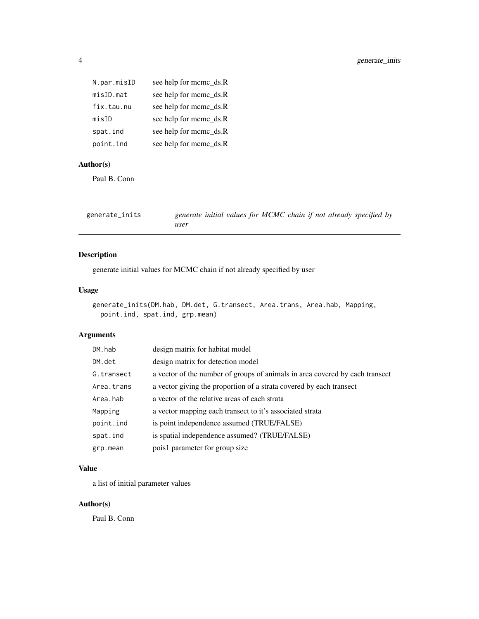<span id="page-3-0"></span>

| N.par.misID | see help for mcmc_ds.R |
|-------------|------------------------|
| misID.mat   | see help for mcmc_ds.R |
| fix.tau.nu  | see help for mcmc_ds.R |
| misID       | see help for mcmc_ds.R |
| spat.ind    | see help for mcmc_ds.R |
| point.ind   | see help for mcmc_ds.R |

#### Author(s)

Paul B. Conn

| generate_inits | generate initial values for MCMC chain if not already specified by |
|----------------|--------------------------------------------------------------------|
|                | user                                                               |

#### Description

generate initial values for MCMC chain if not already specified by user

#### Usage

```
generate_inits(DM.hab, DM.det, G.transect, Area.trans, Area.hab, Mapping,
point.ind, spat.ind, grp.mean)
```
#### Arguments

| DM.hab     | design matrix for habitat model                                              |
|------------|------------------------------------------------------------------------------|
| DM.det     | design matrix for detection model                                            |
| G.transect | a vector of the number of groups of animals in area covered by each transect |
| Area.trans | a vector giving the proportion of a strata covered by each transect          |
| Area.hab   | a vector of the relative areas of each strata                                |
| Mapping    | a vector mapping each transect to it's associated strata                     |
| point.ind  | is point independence assumed (TRUE/FALSE)                                   |
| spat.ind   | is spatial independence assumed? (TRUE/FALSE)                                |
| grp.mean   | pois1 parameter for group size                                               |

#### Value

a list of initial parameter values

#### Author(s)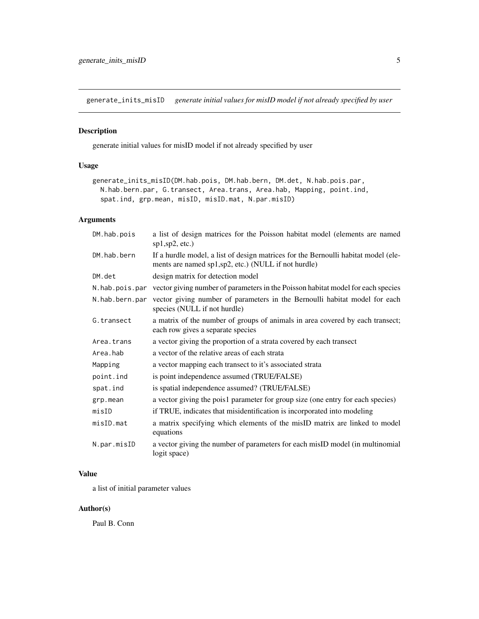<span id="page-4-0"></span>generate\_inits\_misID *generate initial values for misID model if not already specified by user*

#### Description

generate initial values for misID model if not already specified by user

#### Usage

```
generate_inits_misID(DM.hab.pois, DM.hab.bern, DM.det, N.hab.pois.par,
N.hab.bern.par, G.transect, Area.trans, Area.hab, Mapping, point.ind,
 spat.ind, grp.mean, misID, misID.mat, N.par.misID)
```
#### Arguments

| DM.hab.pois    | a list of design matrices for the Poisson habitat model (elements are named<br>sp1, sp2, etc.)                                            |
|----------------|-------------------------------------------------------------------------------------------------------------------------------------------|
| DM.hab.bern    | If a hurdle model, a list of design matrices for the Bernoulli habitat model (ele-<br>ments are named sp1,sp2, etc.) (NULL if not hurdle) |
| DM.det         | design matrix for detection model                                                                                                         |
| N.hab.pois.par | vector giving number of parameters in the Poisson habitat model for each species                                                          |
| N.hab.bern.par | vector giving number of parameters in the Bernoulli habitat model for each<br>species (NULL if not hurdle)                                |
| G.transect     | a matrix of the number of groups of animals in area covered by each transect;<br>each row gives a separate species                        |
| Area.trans     | a vector giving the proportion of a strata covered by each transect                                                                       |
| Area.hab       | a vector of the relative areas of each strata                                                                                             |
| Mapping        | a vector mapping each transect to it's associated strata                                                                                  |
| point.ind      | is point independence assumed (TRUE/FALSE)                                                                                                |
| spat.ind       | is spatial independence assumed? (TRUE/FALSE)                                                                                             |
| grp.mean       | a vector giving the pois1 parameter for group size (one entry for each species)                                                           |
| misID          | if TRUE, indicates that misidentification is incorporated into modeling                                                                   |
| misID.mat      | a matrix specifying which elements of the misID matrix are linked to model<br>equations                                                   |
| N.par.misID    | a vector giving the number of parameters for each misID model (in multinomial<br>logit space)                                             |

#### Value

a list of initial parameter values

#### Author(s)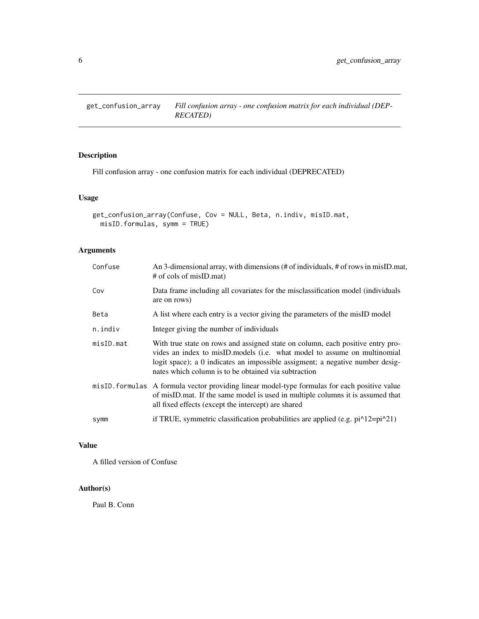<span id="page-5-0"></span>get\_confusion\_array *Fill confusion array - one confusion matrix for each individual (DEP-RECATED)*

#### Description

Fill confusion array - one confusion matrix for each individual (DEPRECATED)

#### Usage

```
get_confusion_array(Confuse, Cov = NULL, Beta, n.indiv, misID.mat,
misID.formulas, symm = TRUE)
```
#### Arguments

| Confuse    | An 3-dimensional array, with dimensions (# of individuals, # of rows in misID mat,<br># of cols of misID.mat)                                                                                                                                                                                       |
|------------|-----------------------------------------------------------------------------------------------------------------------------------------------------------------------------------------------------------------------------------------------------------------------------------------------------|
| Cov        | Data frame including all covariates for the misclassification model (individuals<br>are on rows)                                                                                                                                                                                                    |
| Beta       | A list where each entry is a vector giving the parameters of the misID model                                                                                                                                                                                                                        |
| n.indiv    | Integer giving the number of individuals                                                                                                                                                                                                                                                            |
| misID.math | With true state on rows and assigned state on column, each positive entry pro-<br>vides an index to misID models (i.e. what model to assume on multinomial<br>logit space); a 0 indicates an impossible assigment; a negative number desig-<br>nates which column is to be obtained via subtraction |
|            | misID. formulas A formula vector providing linear model-type formulas for each positive value<br>of misID.mat. If the same model is used in multiple columns it is assumed that<br>all fixed effects (except the intercept) are shared                                                              |
| symm       | if TRUE, symmetric classification probabilities are applied (e.g. $pi^12=pi^221$ )                                                                                                                                                                                                                  |
|            |                                                                                                                                                                                                                                                                                                     |

#### Value

A filled version of Confuse

#### Author(s)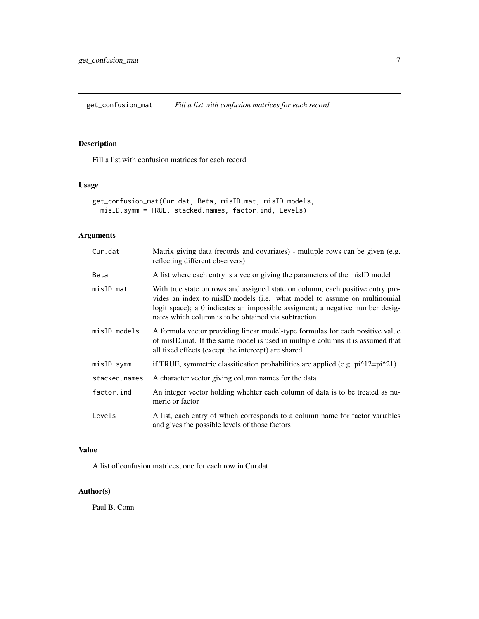<span id="page-6-0"></span>get\_confusion\_mat *Fill a list with confusion matrices for each record*

#### Description

Fill a list with confusion matrices for each record

#### Usage

```
get_confusion_mat(Cur.dat, Beta, misID.mat, misID.models,
misID.symm = TRUE, stacked.names, factor.ind, Levels)
```
#### Arguments

| Cur.dat        | Matrix giving data (records and covariates) - multiple rows can be given (e.g.<br>reflecting different observers)                                                                                                                                                                                   |
|----------------|-----------------------------------------------------------------------------------------------------------------------------------------------------------------------------------------------------------------------------------------------------------------------------------------------------|
| Beta           | A list where each entry is a vector giving the parameters of the misID model                                                                                                                                                                                                                        |
| misID.mat      | With true state on rows and assigned state on column, each positive entry pro-<br>vides an index to misID models (i.e. what model to assume on multinomial<br>logit space); a 0 indicates an impossible assigment; a negative number desig-<br>nates which column is to be obtained via subtraction |
| $misID_models$ | A formula vector providing linear model-type formulas for each positive value<br>of misID mat. If the same model is used in multiple columns it is assumed that<br>all fixed effects (except the intercept) are shared                                                                              |
| misID.symm     | if TRUE, symmetric classification probabilities are applied (e.g. $pi^12=pi^221$ )                                                                                                                                                                                                                  |
| stacked.names  | A character vector giving column names for the data                                                                                                                                                                                                                                                 |
| factor.ind     | An integer vector holding whehter each column of data is to be treated as nu-<br>meric or factor                                                                                                                                                                                                    |
| Levels         | A list, each entry of which corresponds to a column name for factor variables<br>and gives the possible levels of those factors                                                                                                                                                                     |

#### Value

A list of confusion matrices, one for each row in Cur.dat

#### Author(s)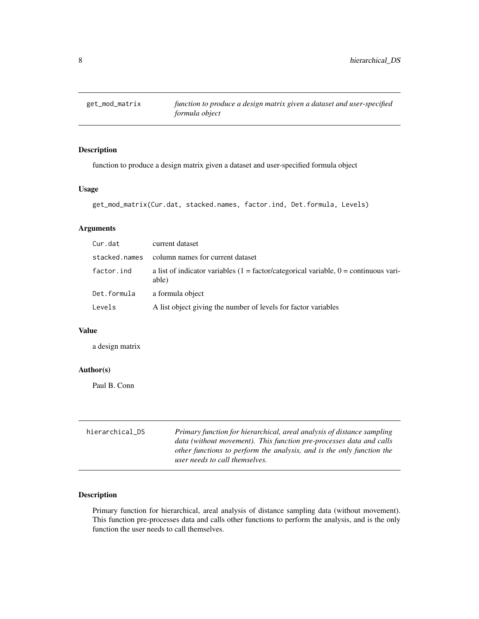<span id="page-7-0"></span>

#### Description

function to produce a design matrix given a dataset and user-specified formula object

#### Usage

```
get_mod_matrix(Cur.dat, stacked.names, factor.ind, Det.formula, Levels)
```
#### Arguments

| Cur.dat       | current dataset                                                                                 |
|---------------|-------------------------------------------------------------------------------------------------|
| stacked.names | column names for current dataset                                                                |
| factor.ind    | a list of indicator variables $(1 = factor/categorical variable, 0 = continuous vari-$<br>able) |
| Det.formula   | a formula object                                                                                |
| Levels        | A list object giving the number of levels for factor variables                                  |

#### Value

a design matrix

#### Author(s)

Paul B. Conn

| hierarchical_DS | Primary function for hierarchical, areal analysis of distance sampling<br>data (without movement). This function pre-processes data and calls |
|-----------------|-----------------------------------------------------------------------------------------------------------------------------------------------|
|                 | other functions to perform the analysis, and is the only function the<br>user needs to call themselves.                                       |

#### Description

Primary function for hierarchical, areal analysis of distance sampling data (without movement). This function pre-processes data and calls other functions to perform the analysis, and is the only function the user needs to call themselves.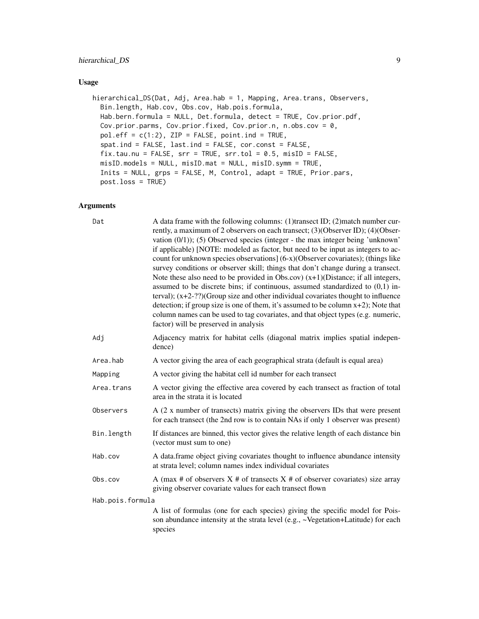#### hierarchical\_DS 9

#### Usage

```
hierarchical_DS(Dat, Adj, Area.hab = 1, Mapping, Area.trans, Observers,
Bin.length, Hab.cov, Obs.cov, Hab.pois.formula,
Hab.bern.formula = NULL, Det.formula, detect = TRUE, Cov.prior.pdf,
Cov.prior.parms, Cov.prior.fixed, Cov.prior.n, n.obs.cov = 0,
pol.eff = c(1:2), ZIP = FALSE, point.ind = TRUE,
 spat.ind = FALSE, last.ind = FALSE, cor.const = FALSE,
 fix.tau.nu = FALSE, srr = TRUE, srr.tol = 0.5, misID = FALSE,
misID.models = NULL, misID.mat = NULL, misID.symm = TRUE,
 Inits = NULL, grps = FALSE, M, Control, adapt = TRUE, Prior.pars,
post.loss = TRUE)
```
#### Arguments

| Dat              | A data frame with the following columns: (1)transect ID; (2)match number cur-<br>rently, a maximum of 2 observers on each transect; (3)(Observer ID); (4)(Obser-<br>vation $(0/1)$ ; (5) Observed species (integer - the max integer being 'unknown'<br>if applicable) [NOTE: modeled as factor, but need to be input as integers to ac-<br>count for unknown species observations] (6-x)(Observer covariates); (things like<br>survey conditions or observer skill; things that don't change during a transect.<br>Note these also need to be provided in Obs.cov) $(x+1)$ (Distance; if all integers,<br>assumed to be discrete bins; if continuous, assumed standardized to $(0,1)$ in-<br>terval); $(x+2-?)$ (Group size and other individual covariates thought to influence<br>detection; if group size is one of them, it's assumed to be column $x+2$ ); Note that<br>column names can be used to tag covariates, and that object types (e.g. numeric,<br>factor) will be preserved in analysis |
|------------------|---------------------------------------------------------------------------------------------------------------------------------------------------------------------------------------------------------------------------------------------------------------------------------------------------------------------------------------------------------------------------------------------------------------------------------------------------------------------------------------------------------------------------------------------------------------------------------------------------------------------------------------------------------------------------------------------------------------------------------------------------------------------------------------------------------------------------------------------------------------------------------------------------------------------------------------------------------------------------------------------------------|
| Adj              | Adjacency matrix for habitat cells (diagonal matrix implies spatial indepen-<br>dence)                                                                                                                                                                                                                                                                                                                                                                                                                                                                                                                                                                                                                                                                                                                                                                                                                                                                                                                  |
| Area.hab         | A vector giving the area of each geographical strata (default is equal area)                                                                                                                                                                                                                                                                                                                                                                                                                                                                                                                                                                                                                                                                                                                                                                                                                                                                                                                            |
| Mapping          | A vector giving the habitat cell id number for each transect                                                                                                                                                                                                                                                                                                                                                                                                                                                                                                                                                                                                                                                                                                                                                                                                                                                                                                                                            |
| Area.trans       | A vector giving the effective area covered by each transect as fraction of total<br>area in the strata it is located                                                                                                                                                                                                                                                                                                                                                                                                                                                                                                                                                                                                                                                                                                                                                                                                                                                                                    |
| Observers        | A (2 x number of transects) matrix giving the observers IDs that were present<br>for each transect (the 2nd row is to contain NAs if only 1 observer was present)                                                                                                                                                                                                                                                                                                                                                                                                                                                                                                                                                                                                                                                                                                                                                                                                                                       |
| Bin.length       | If distances are binned, this vector gives the relative length of each distance bin<br>(vector must sum to one)                                                                                                                                                                                                                                                                                                                                                                                                                                                                                                                                                                                                                                                                                                                                                                                                                                                                                         |
| Hab.cov          | A data.frame object giving covariates thought to influence abundance intensity<br>at strata level; column names index individual covariates                                                                                                                                                                                                                                                                                                                                                                                                                                                                                                                                                                                                                                                                                                                                                                                                                                                             |
| Obs.cov          | A (max # of observers $X \#$ of transects $X \#$ of observer covariates) size array<br>giving observer covariate values for each transect flown                                                                                                                                                                                                                                                                                                                                                                                                                                                                                                                                                                                                                                                                                                                                                                                                                                                         |
| Hab.pois.formula |                                                                                                                                                                                                                                                                                                                                                                                                                                                                                                                                                                                                                                                                                                                                                                                                                                                                                                                                                                                                         |
|                  | A list of formulas (one for each species) giving the specific model for Pois-<br>son abundance intensity at the strata level (e.g., ~Vegetation+Latitude) for each<br>species                                                                                                                                                                                                                                                                                                                                                                                                                                                                                                                                                                                                                                                                                                                                                                                                                           |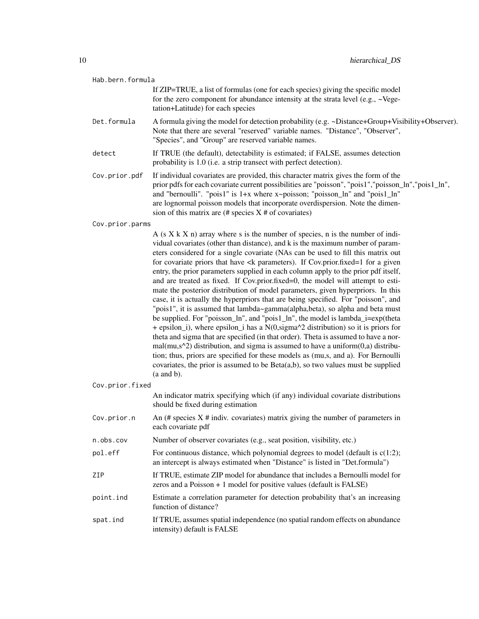| Hab.bern.formula |                                                                                                                                                                                                                                                                                                                                                                                                                                                                                                                                                                                                                                                                                                                                                                                                                                                                                                                                                                                                                                                                                                                                                                                                                                                                                                                                                                                                                                    |
|------------------|------------------------------------------------------------------------------------------------------------------------------------------------------------------------------------------------------------------------------------------------------------------------------------------------------------------------------------------------------------------------------------------------------------------------------------------------------------------------------------------------------------------------------------------------------------------------------------------------------------------------------------------------------------------------------------------------------------------------------------------------------------------------------------------------------------------------------------------------------------------------------------------------------------------------------------------------------------------------------------------------------------------------------------------------------------------------------------------------------------------------------------------------------------------------------------------------------------------------------------------------------------------------------------------------------------------------------------------------------------------------------------------------------------------------------------|
|                  | If ZIP=TRUE, a list of formulas (one for each species) giving the specific model<br>for the zero component for abundance intensity at the strata level (e.g., ~Vege-<br>tation+Latitude) for each species                                                                                                                                                                                                                                                                                                                                                                                                                                                                                                                                                                                                                                                                                                                                                                                                                                                                                                                                                                                                                                                                                                                                                                                                                          |
| Det.formula      | A formula giving the model for detection probability (e.g. ~Distance+Group+Visibility+Observer).<br>Note that there are several "reserved" variable names. "Distance", "Observer",<br>"Species", and "Group" are reserved variable names.                                                                                                                                                                                                                                                                                                                                                                                                                                                                                                                                                                                                                                                                                                                                                                                                                                                                                                                                                                                                                                                                                                                                                                                          |
| detect           | If TRUE (the default), detectability is estimated; if FALSE, assumes detection<br>probability is 1.0 (i.e. a strip transect with perfect detection).                                                                                                                                                                                                                                                                                                                                                                                                                                                                                                                                                                                                                                                                                                                                                                                                                                                                                                                                                                                                                                                                                                                                                                                                                                                                               |
| Cov.prior.pdf    | If individual covariates are provided, this character matrix gives the form of the<br>prior pdfs for each covariate current possibilities are "poisson", "pois1", "poisson_ln", "pois1_ln",<br>and "bernoulli". "pois1" is 1+x where x~poisson; "poisson_ln" and "pois1_ln"<br>are lognormal poisson models that incorporate overdispersion. Note the dimen-<br>sion of this matrix are $(\#$ species $X \#$ of covariates)                                                                                                                                                                                                                                                                                                                                                                                                                                                                                                                                                                                                                                                                                                                                                                                                                                                                                                                                                                                                        |
| Cov.prior.parms  |                                                                                                                                                                                                                                                                                                                                                                                                                                                                                                                                                                                                                                                                                                                                                                                                                                                                                                                                                                                                                                                                                                                                                                                                                                                                                                                                                                                                                                    |
|                  | A $(s X k X n)$ array where s is the number of species, n is the number of indi-<br>vidual covariates (other than distance), and k is the maximum number of param-<br>eters considered for a single covariate (NAs can be used to fill this matrix out<br>for covariate priors that have <k a="" cov.prior.fixed="1" for="" given<br="" if="" parameters).="">entry, the prior parameters supplied in each column apply to the prior pdf itself,<br/>and are treated as fixed. If Cov.prior.fixed=0, the model will attempt to esti-<br/>mate the posterior distribution of model parameters, given hyperpriors. In this<br/>case, it is actually the hyperpriors that are being specified. For "poisson", and<br/>"pois1", it is assumed that lambda~gamma(alpha,beta), so alpha and beta must<br/>be supplied. For "poisson_ln", and "pois1_ln", the model is lambda_i=exp(theta<br/>+ epsilon_i), where epsilon_i has a <math>N(0, sigma^2)</math> distribution) so it is priors for<br/>theta and sigma that are specified (in that order). Theta is assumed to have a nor-<br/><math>mal(mu,s^2)</math> distribution, and sigma is assumed to have a uniform<math>(0,a)</math> distribu-<br/>tion; thus, priors are specified for these models as (mu,s, and a). For Bernoulli<br/>covariates, the prior is assumed to be <math>Beta(a,b)</math>, so two values must be supplied<br/><math>(a</math> and <math>b)</math>.</k> |
| Cov.prior.fixed  |                                                                                                                                                                                                                                                                                                                                                                                                                                                                                                                                                                                                                                                                                                                                                                                                                                                                                                                                                                                                                                                                                                                                                                                                                                                                                                                                                                                                                                    |
|                  | An indicator matrix specifying which (if any) individual covariate distributions<br>should be fixed during estimation                                                                                                                                                                                                                                                                                                                                                                                                                                                                                                                                                                                                                                                                                                                                                                                                                                                                                                                                                                                                                                                                                                                                                                                                                                                                                                              |
| Cov.prior.n      | An $(\#$ species $X \#$ indiv. covariates) matrix giving the number of parameters in<br>each covariate pdf                                                                                                                                                                                                                                                                                                                                                                                                                                                                                                                                                                                                                                                                                                                                                                                                                                                                                                                                                                                                                                                                                                                                                                                                                                                                                                                         |
| n.obs.cov        | Number of observer covariates (e.g., seat position, visibility, etc.)                                                                                                                                                                                                                                                                                                                                                                                                                                                                                                                                                                                                                                                                                                                                                                                                                                                                                                                                                                                                                                                                                                                                                                                                                                                                                                                                                              |
| pol.eff          | For continuous distance, which polynomial degrees to model (default is $c(1:2)$ ;<br>an intercept is always estimated when "Distance" is listed in "Det.formula")                                                                                                                                                                                                                                                                                                                                                                                                                                                                                                                                                                                                                                                                                                                                                                                                                                                                                                                                                                                                                                                                                                                                                                                                                                                                  |
| ZIP              | If TRUE, estimate ZIP model for abundance that includes a Bernoulli model for<br>zeros and a Poisson $+1$ model for positive values (default is FALSE)                                                                                                                                                                                                                                                                                                                                                                                                                                                                                                                                                                                                                                                                                                                                                                                                                                                                                                                                                                                                                                                                                                                                                                                                                                                                             |
| point.ind        | Estimate a correlation parameter for detection probability that's an increasing<br>function of distance?                                                                                                                                                                                                                                                                                                                                                                                                                                                                                                                                                                                                                                                                                                                                                                                                                                                                                                                                                                                                                                                                                                                                                                                                                                                                                                                           |
| spat.ind         | If TRUE, assumes spatial independence (no spatial random effects on abundance<br>intensity) default is FALSE                                                                                                                                                                                                                                                                                                                                                                                                                                                                                                                                                                                                                                                                                                                                                                                                                                                                                                                                                                                                                                                                                                                                                                                                                                                                                                                       |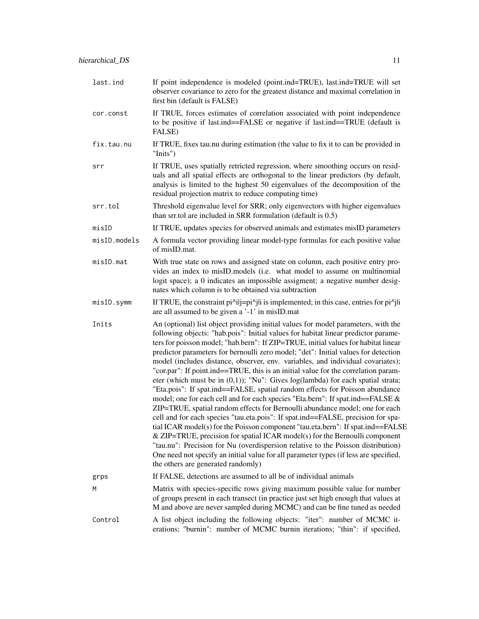| last.ind     | If point independence is modeled (point.ind=TRUE), last.ind=TRUE will set<br>observer covariance to zero for the greatest distance and maximal correlation in<br>first bin (default is FALSE)                                                                                                                                                                                                                                                                                                                                                                                                                                                                                                                                                                                                                                                                                                                                                                                                                                                                                                                                                                                                                                                                                                                                                 |
|--------------|-----------------------------------------------------------------------------------------------------------------------------------------------------------------------------------------------------------------------------------------------------------------------------------------------------------------------------------------------------------------------------------------------------------------------------------------------------------------------------------------------------------------------------------------------------------------------------------------------------------------------------------------------------------------------------------------------------------------------------------------------------------------------------------------------------------------------------------------------------------------------------------------------------------------------------------------------------------------------------------------------------------------------------------------------------------------------------------------------------------------------------------------------------------------------------------------------------------------------------------------------------------------------------------------------------------------------------------------------|
| cor.const    | If TRUE, forces estimates of correlation associated with point independence<br>to be positive if last.ind==FALSE or negative if last.ind==TRUE (default is<br>FALSE)                                                                                                                                                                                                                                                                                                                                                                                                                                                                                                                                                                                                                                                                                                                                                                                                                                                                                                                                                                                                                                                                                                                                                                          |
| fix.tau.nu   | If TRUE, fixes tau.nu during estimation (the value to fix it to can be provided in<br>"Inits")                                                                                                                                                                                                                                                                                                                                                                                                                                                                                                                                                                                                                                                                                                                                                                                                                                                                                                                                                                                                                                                                                                                                                                                                                                                |
| srr          | If TRUE, uses spatially retricted regression, where smoothing occurs on resid-<br>uals and all spatial effects are orthogonal to the linear predictors (by default,<br>analysis is limited to the highest 50 eigenvalues of the decomposition of the<br>residual projection matrix to reduce computing time)                                                                                                                                                                                                                                                                                                                                                                                                                                                                                                                                                                                                                                                                                                                                                                                                                                                                                                                                                                                                                                  |
| srr.tol      | Threshold eigenvalue level for SRR; only eigenvectors with higher eigenvalues<br>than srr.tol are included in SRR formulation (default is $0.5$ )                                                                                                                                                                                                                                                                                                                                                                                                                                                                                                                                                                                                                                                                                                                                                                                                                                                                                                                                                                                                                                                                                                                                                                                             |
| misID        | If TRUE, updates species for observed animals and estimates misID parameters                                                                                                                                                                                                                                                                                                                                                                                                                                                                                                                                                                                                                                                                                                                                                                                                                                                                                                                                                                                                                                                                                                                                                                                                                                                                  |
| misID.models | A formula vector providing linear model-type formulas for each positive value<br>of misID.mat.                                                                                                                                                                                                                                                                                                                                                                                                                                                                                                                                                                                                                                                                                                                                                                                                                                                                                                                                                                                                                                                                                                                                                                                                                                                |
| misID.mat    | With true state on rows and assigned state on column, each positive entry pro-<br>vides an index to misID.models (i.e. what model to assume on multinomial<br>logit space); a 0 indicates an impossible assigment; a negative number desig-<br>nates which column is to be obtained via subtraction                                                                                                                                                                                                                                                                                                                                                                                                                                                                                                                                                                                                                                                                                                                                                                                                                                                                                                                                                                                                                                           |
| misID.symm   | If TRUE, the constraint pi^ilj=pi^jli is implemented; in this case, entries for pi^jli<br>are all assumed to be given a '-1' in misID.mat                                                                                                                                                                                                                                                                                                                                                                                                                                                                                                                                                                                                                                                                                                                                                                                                                                                                                                                                                                                                                                                                                                                                                                                                     |
| Inits        | An (optional) list object providing initial values for model parameters, with the<br>following objects: "hab.pois": Initial values for habitat linear predictor parame-<br>ters for poisson model; "hab.bern": If ZIP=TRUE, initial values for habitat linear<br>predictor parameters for bernoulli zero model; "det": Initial values for detection<br>model (includes distance, observer, env. variables, and individual covariates);<br>"cor.par": If point.ind==TRUE, this is an initial value for the correlation param-<br>eter (which must be in $(0,1)$ ); "Nu": Gives log(lambda) for each spatial strata;<br>"Eta.pois": If spat.ind==FALSE, spatial random effects for Poisson abundance<br>model; one for each cell and for each species "Eta.bern": If spat.ind==FALSE &<br>ZIP=TRUE, spatial random effects for Bernoulli abundance model; one for each<br>cell and for each species "tau.eta.pois": If spat.ind==FALSE, precision for spa-<br>tial ICAR model(s) for the Poisson component "tau.eta.bern": If spat.ind==FALSE<br>& ZIP=TRUE, precision for spatial ICAR model(s) for the Bernoulli component<br>"tau.nu": Precision for Nu (overdispersion relative to the Poisson distribution)<br>One need not specify an initial value for all parameter types (if less are specified,<br>the others are generated randomly) |
| grps         | If FALSE, detections are assumed to all be of individual animals                                                                                                                                                                                                                                                                                                                                                                                                                                                                                                                                                                                                                                                                                                                                                                                                                                                                                                                                                                                                                                                                                                                                                                                                                                                                              |
| M            | Matrix with species-specific rows giving maximum possible value for number<br>of groups present in each transect (in practice just set high enough that values at<br>M and above are never sampled during MCMC) and can be fine tuned as needed                                                                                                                                                                                                                                                                                                                                                                                                                                                                                                                                                                                                                                                                                                                                                                                                                                                                                                                                                                                                                                                                                               |
| Control      | A list object including the following objects: "iter": number of MCMC it-<br>erations; "burnin": number of MCMC burnin iterations; "thin": if specified,                                                                                                                                                                                                                                                                                                                                                                                                                                                                                                                                                                                                                                                                                                                                                                                                                                                                                                                                                                                                                                                                                                                                                                                      |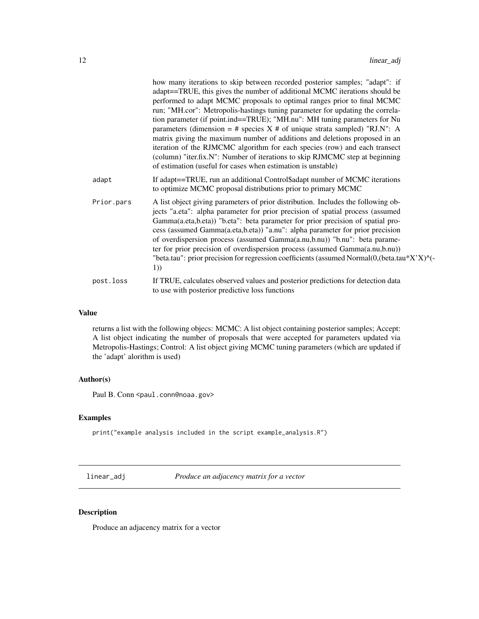<span id="page-11-0"></span>

|            | how many iterations to skip between recorded posterior samples; "adapt": if<br>adapt==TRUE, this gives the number of additional MCMC iterations should be<br>performed to adapt MCMC proposals to optimal ranges prior to final MCMC<br>run; "MH.cor": Metropolis-hastings tuning parameter for updating the correla-<br>tion parameter (if point.ind==TRUE); "MH.nu": MH tuning parameters for Nu<br>parameters (dimension = # species $X \#$ of unique strata sampled) "RJ.N": A<br>matrix giving the maximum number of additions and deletions proposed in an<br>iteration of the RJMCMC algorithm for each species (row) and each transect<br>(column) "iter.fix.N": Number of iterations to skip RJMCMC step at beginning<br>of estimation (useful for cases when estimation is unstable) |
|------------|------------------------------------------------------------------------------------------------------------------------------------------------------------------------------------------------------------------------------------------------------------------------------------------------------------------------------------------------------------------------------------------------------------------------------------------------------------------------------------------------------------------------------------------------------------------------------------------------------------------------------------------------------------------------------------------------------------------------------------------------------------------------------------------------|
| adapt      | If adapt==TRUE, run an additional Control\$adapt number of MCMC iterations<br>to optimize MCMC proposal distributions prior to primary MCMC                                                                                                                                                                                                                                                                                                                                                                                                                                                                                                                                                                                                                                                    |
| Prior.pars | A list object giving parameters of prior distribution. Includes the following ob-<br>jects "a.eta": alpha parameter for prior precision of spatial process (assumed<br>Gamma(a.eta,b.eta)) "b.eta": beta parameter for prior precision of spatial pro-<br>cess (assumed Gamma(a.eta,b.eta)) "a.nu": alpha parameter for prior precision<br>of overdispersion process (assumed Gamma(a.nu,b.nu)) "b.nu": beta parame-<br>ter for prior precision of overdispersion process (assumed Gamma(a.nu,b.nu))<br>"beta.tau": prior precision for regression coefficients (assumed Normal(0,(beta.tau*X'X)^(-<br>1)                                                                                                                                                                                      |
| post.loss  | If TRUE, calculates observed values and posterior predictions for detection data<br>to use with posterior predictive loss functions                                                                                                                                                                                                                                                                                                                                                                                                                                                                                                                                                                                                                                                            |

#### Value

returns a list with the following objecs: MCMC: A list object containing posterior samples; Accept: A list object indicating the number of proposals that were accepted for parameters updated via Metropolis-Hastings; Control: A list object giving MCMC tuning parameters (which are updated if the 'adapt' alorithm is used)

#### Author(s)

Paul B. Conn <paul.conn@noaa.gov>

#### Examples

print("example analysis included in the script example\_analysis.R")

linear\_adj *Produce an adjacency matrix for a vector*

#### Description

Produce an adjacency matrix for a vector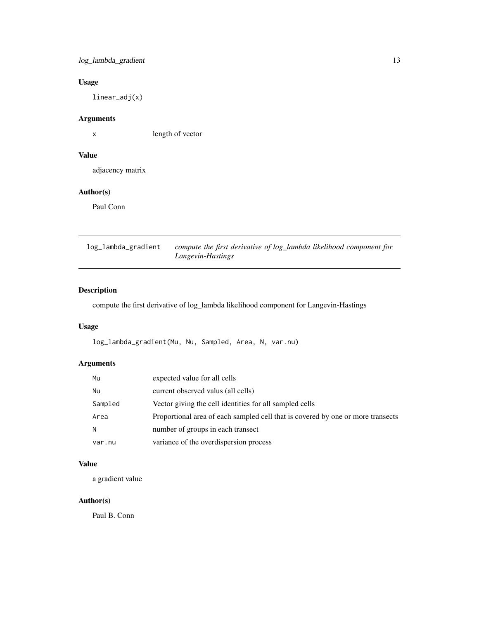#### <span id="page-12-0"></span>log\_lambda\_gradient 13

#### Usage

linear\_adj(x)

#### Arguments

x length of vector

#### Value

adjacency matrix

#### Author(s)

Paul Conn

log\_lambda\_gradient *compute the first derivative of log\_lambda likelihood component for Langevin-Hastings*

#### Description

compute the first derivative of log\_lambda likelihood component for Langevin-Hastings

#### Usage

log\_lambda\_gradient(Mu, Nu, Sampled, Area, N, var.nu)

#### Arguments

| Mu      | expected value for all cells                                                    |
|---------|---------------------------------------------------------------------------------|
| Nu      | current observed valus (all cells)                                              |
| Sampled | Vector giving the cell identities for all sampled cells                         |
| Area    | Proportional area of each sampled cell that is covered by one or more transects |
| N.      | number of groups in each transect                                               |
| var.nu  | variance of the overdispersion process                                          |

#### Value

a gradient value

#### Author(s)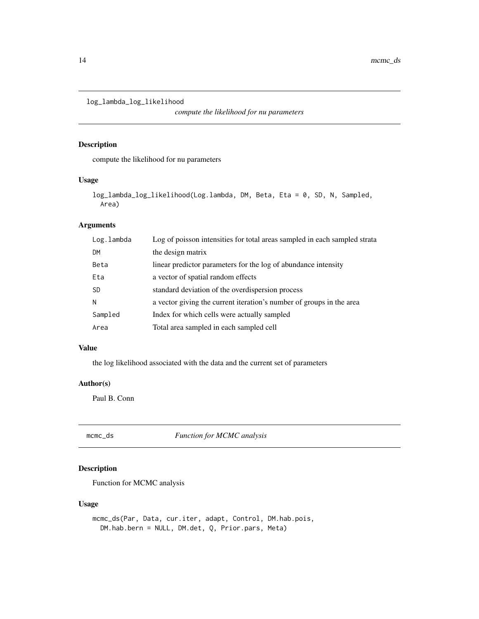<span id="page-13-0"></span>log\_lambda\_log\_likelihood

*compute the likelihood for nu parameters*

#### Description

compute the likelihood for nu parameters

#### Usage

```
log_lambda_log_likelihood(Log.lambda, DM, Beta, Eta = 0, SD, N, Sampled,
Area)
```
#### Arguments

| Log.lambda | Log of poisson intensities for total areas sampled in each sampled strata |
|------------|---------------------------------------------------------------------------|
| DM         | the design matrix                                                         |
| Beta       | linear predictor parameters for the log of abundance intensity            |
| Eta        | a vector of spatial random effects                                        |
| SD         | standard deviation of the overdispersion process                          |
| Ν          | a vector giving the current iteration's number of groups in the area      |
| Sampled    | Index for which cells were actually sampled                               |
| Area       | Total area sampled in each sampled cell                                   |

#### Value

the log likelihood associated with the data and the current set of parameters

#### Author(s)

Paul B. Conn

mcmc\_ds *Function for MCMC analysis*

#### Description

Function for MCMC analysis

#### Usage

```
mcmc_ds(Par, Data, cur.iter, adapt, Control, DM.hab.pois,
DM.hab.bern = NULL, DM.det, Q, Prior.pars, Meta)
```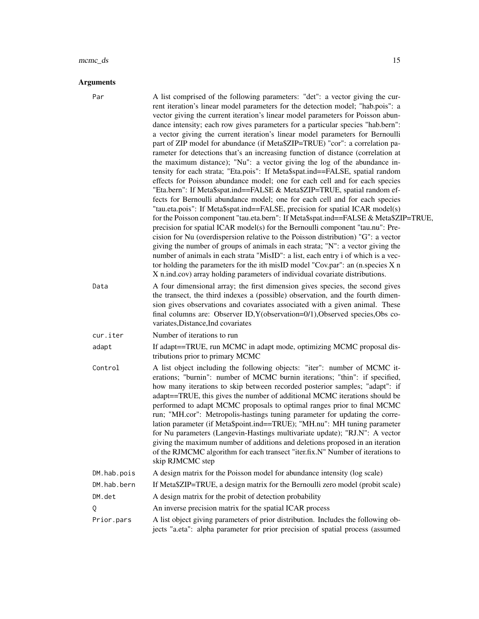#### mcmc\_ds 15

#### Arguments

| Par         | A list comprised of the following parameters: "det": a vector giving the cur-<br>rent iteration's linear model parameters for the detection model; "hab.pois": a<br>vector giving the current iteration's linear model parameters for Poisson abun-<br>dance intensity; each row gives parameters for a particular species "hab.bern":<br>a vector giving the current iteration's linear model parameters for Bernoulli<br>part of ZIP model for abundance (if Meta\$ZIP=TRUE) "cor": a correlation pa-<br>rameter for detections that's an increasing function of distance (correlation at<br>the maximum distance); "Nu": a vector giving the log of the abundance in-<br>tensity for each strata; "Eta.pois": If Meta\$spat.ind==FALSE, spatial random<br>effects for Poisson abundance model; one for each cell and for each species<br>"Eta.bern": If Meta\$spat.ind==FALSE & Meta\$ZIP=TRUE, spatial random ef-<br>fects for Bernoulli abundance model; one for each cell and for each species<br>"tau.eta.pois": If Meta\$spat.ind==FALSE, precision for spatial ICAR model(s)<br>for the Poisson component "tau.eta.bern": If Meta\$spat.ind==FALSE & Meta\$ZIP=TRUE,<br>precision for spatial ICAR model(s) for the Bernoulli component "tau.nu": Pre-<br>cision for Nu (overdispersion relative to the Poisson distribution) "G": a vector<br>giving the number of groups of animals in each strata; "N": a vector giving the<br>number of animals in each strata "MisID": a list, each entry i of which is a vec-<br>tor holding the parameters for the ith misID model "Cov.par": an $(n.\text{species } X \text{ n})$<br>X n.ind.cov) array holding parameters of individual covariate distributions. |
|-------------|--------------------------------------------------------------------------------------------------------------------------------------------------------------------------------------------------------------------------------------------------------------------------------------------------------------------------------------------------------------------------------------------------------------------------------------------------------------------------------------------------------------------------------------------------------------------------------------------------------------------------------------------------------------------------------------------------------------------------------------------------------------------------------------------------------------------------------------------------------------------------------------------------------------------------------------------------------------------------------------------------------------------------------------------------------------------------------------------------------------------------------------------------------------------------------------------------------------------------------------------------------------------------------------------------------------------------------------------------------------------------------------------------------------------------------------------------------------------------------------------------------------------------------------------------------------------------------------------------------------------------------------------------------------------------------------------------------------------|
| Data        | A four dimensional array; the first dimension gives species, the second gives<br>the transect, the third indexes a (possible) observation, and the fourth dimen-<br>sion gives observations and covariates associated with a given animal. These<br>final columns are: Observer ID, Y(observation=0/1), Observed species, Obs co-<br>variates, Distance, Ind covariates                                                                                                                                                                                                                                                                                                                                                                                                                                                                                                                                                                                                                                                                                                                                                                                                                                                                                                                                                                                                                                                                                                                                                                                                                                                                                                                                            |
| cur.iter    | Number of iterations to run                                                                                                                                                                                                                                                                                                                                                                                                                                                                                                                                                                                                                                                                                                                                                                                                                                                                                                                                                                                                                                                                                                                                                                                                                                                                                                                                                                                                                                                                                                                                                                                                                                                                                        |
| adapt       | If adapt==TRUE, run MCMC in adapt mode, optimizing MCMC proposal dis-<br>tributions prior to primary MCMC                                                                                                                                                                                                                                                                                                                                                                                                                                                                                                                                                                                                                                                                                                                                                                                                                                                                                                                                                                                                                                                                                                                                                                                                                                                                                                                                                                                                                                                                                                                                                                                                          |
| Control     | A list object including the following objects: "iter": number of MCMC it-<br>erations; "burnin": number of MCMC burnin iterations; "thin": if specified,<br>how many iterations to skip between recorded posterior samples; "adapt": if<br>adapt==TRUE, this gives the number of additional MCMC iterations should be<br>performed to adapt MCMC proposals to optimal ranges prior to final MCMC<br>run; "MH.cor": Metropolis-hastings tuning parameter for updating the corre-<br>lation parameter (if Meta\$point.ind==TRUE); "MH.nu": MH tuning parameter<br>for Nu parameters (Langevin-Hastings multivariate update); "RJ.N": A vector<br>giving the maximum number of additions and deletions proposed in an iteration<br>of the RJMCMC algorithm for each transect "iter.fix.N" Number of iterations to<br>skip RJMCMC step                                                                                                                                                                                                                                                                                                                                                                                                                                                                                                                                                                                                                                                                                                                                                                                                                                                                                 |
| DM.hab.pois | A design matrix for the Poisson model for abundance intensity (log scale)                                                                                                                                                                                                                                                                                                                                                                                                                                                                                                                                                                                                                                                                                                                                                                                                                                                                                                                                                                                                                                                                                                                                                                                                                                                                                                                                                                                                                                                                                                                                                                                                                                          |
| DM.hab.bern | If Meta\$ZIP=TRUE, a design matrix for the Bernoulli zero model (probit scale)                                                                                                                                                                                                                                                                                                                                                                                                                                                                                                                                                                                                                                                                                                                                                                                                                                                                                                                                                                                                                                                                                                                                                                                                                                                                                                                                                                                                                                                                                                                                                                                                                                     |
| DM.det      | A design matrix for the probit of detection probability                                                                                                                                                                                                                                                                                                                                                                                                                                                                                                                                                                                                                                                                                                                                                                                                                                                                                                                                                                                                                                                                                                                                                                                                                                                                                                                                                                                                                                                                                                                                                                                                                                                            |
| Q           | An inverse precision matrix for the spatial ICAR process                                                                                                                                                                                                                                                                                                                                                                                                                                                                                                                                                                                                                                                                                                                                                                                                                                                                                                                                                                                                                                                                                                                                                                                                                                                                                                                                                                                                                                                                                                                                                                                                                                                           |
| Prior.pars  | A list object giving parameters of prior distribution. Includes the following ob-<br>jects "a.eta": alpha parameter for prior precision of spatial process (assumed                                                                                                                                                                                                                                                                                                                                                                                                                                                                                                                                                                                                                                                                                                                                                                                                                                                                                                                                                                                                                                                                                                                                                                                                                                                                                                                                                                                                                                                                                                                                                |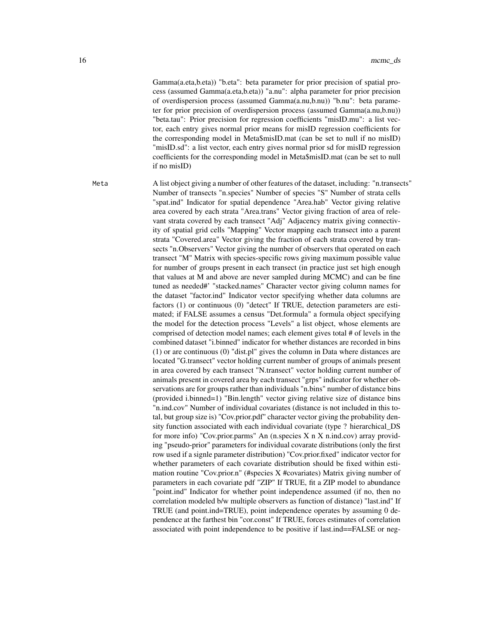Gamma(a.eta,b.eta)) "b.eta": beta parameter for prior precision of spatial process (assumed Gamma(a.eta,b.eta)) "a.nu": alpha parameter for prior precision of overdispersion process (assumed Gamma(a.nu,b.nu)) "b.nu": beta parameter for prior precision of overdispersion process (assumed Gamma(a.nu,b.nu)) "beta.tau": Prior precision for regression coefficients "misID.mu": a list vector, each entry gives normal prior means for misID regression coefficients for the corresponding model in Meta\$misID.mat (can be set to null if no misID) "misID.sd": a list vector, each entry gives normal prior sd for misID regression coefficients for the corresponding model in Meta\$misID.mat (can be set to null if no misID)

Meta A list object giving a number of other features of the dataset, including: "n.transects" Number of transects "n.species" Number of species "S" Number of strata cells "spat.ind" Indicator for spatial dependence "Area.hab" Vector giving relative area covered by each strata "Area.trans" Vector giving fraction of area of relevant strata covered by each transect "Adj" Adjacency matrix giving connectivity of spatial grid cells "Mapping" Vector mapping each transect into a parent strata "Covered.area" Vector giving the fraction of each strata covered by transects "n.Observers" Vector giving the number of observers that operated on each transect "M" Matrix with species-specific rows giving maximum possible value for number of groups present in each transect (in practice just set high enough that values at M and above are never sampled during MCMC) and can be fine tuned as needed#' "stacked.names" Character vector giving column names for the dataset "factor.ind" Indicator vector specifying whether data columns are factors (1) or continuous (0) "detect" If TRUE, detection parameters are estimated; if FALSE assumes a census "Det.formula" a formula object specifying the model for the detection process "Levels" a list object, whose elements are comprised of detection model names; each element gives total # of levels in the combined dataset "i.binned" indicator for whether distances are recorded in bins (1) or are continuous (0) "dist.pl" gives the column in Data where distances are located "G.transect" vector holding current number of groups of animals present in area covered by each transect "N.transect" vector holding current number of animals present in covered area by each transect "grps" indicator for whether observations are for groups rather than individuals "n.bins" number of distance bins (provided i.binned=1) "Bin.length" vector giving relative size of distance bins "n.ind.cov" Number of individual covariates (distance is not included in this total, but group size is) "Cov.prior.pdf" character vector giving the probability density function associated with each individual covariate (type ? hierarchical\_DS for more info) "Cov.prior.parms" An (n.species X n X n.ind.cov) array providing "pseudo-prior" parameters for individual covarate distributions (only the first row used if a signle parameter distribution) "Cov.prior.fixed" indicator vector for whether parameters of each covariate distribution should be fixed within estimation routine "Cov.prior.n" (#species X #covariates) Matrix giving number of parameters in each covariate pdf "ZIP" If TRUE, fit a ZIP model to abundance "point.ind" Indicator for whether point independence assumed (if no, then no correlation modeled b/w multiple observers as function of distance) "last.ind" If TRUE (and point.ind=TRUE), point independence operates by assuming 0 dependence at the farthest bin "cor.const" If TRUE, forces estimates of correlation associated with point independence to be positive if last.ind==FALSE or neg-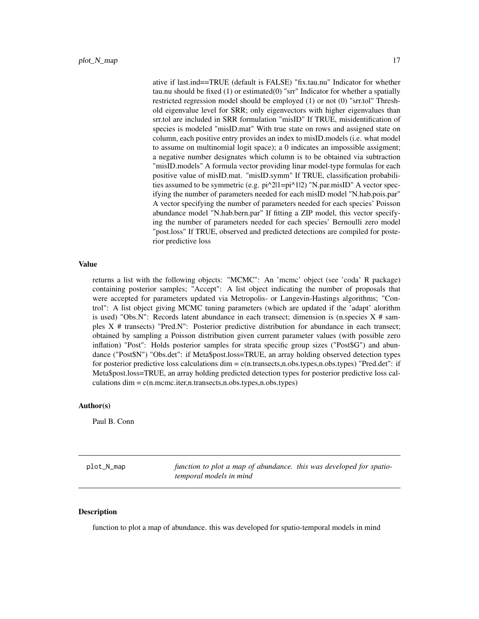<span id="page-16-0"></span>ative if last.ind==TRUE (default is FALSE) "fix.tau.nu" Indicator for whether tau.nu should be fixed (1) or estimated(0) "srr" Indicator for whether a spatially restricted regression model should be employed (1) or not (0) "srr.tol" Threshold eigenvalue level for SRR; only eigenvectors with higher eigenvalues than srr.tol are included in SRR formulation "misID" If TRUE, misidentification of species is modeled "misID.mat" With true state on rows and assigned state on column, each positive entry provides an index to misID.models (i.e. what model to assume on multinomial logit space); a 0 indicates an impossible assigment; a negative number designates which column is to be obtained via subtraction "misID.models" A formula vector providing linar model-type formulas for each positive value of misID.mat. "misID.symm" If TRUE, classification probabilities assumed to be symmetric (e.g. pi^2|1=pi^1|2) "N.par.misID" A vector specifying the number of parameters needed for each misID model "N.hab.pois.par" A vector specifying the number of parameters needed for each species' Poisson abundance model "N.hab.bern.par" If fitting a ZIP model, this vector specifying the number of parameters needed for each species' Bernoulli zero model "post.loss" If TRUE, observed and predicted detections are compiled for posterior predictive loss

#### Value

returns a list with the following objects: "MCMC": An 'mcmc' object (see 'coda' R package) containing posterior samples; "Accept": A list object indicating the number of proposals that were accepted for parameters updated via Metropolis- or Langevin-Hastings algorithms; "Control": A list object giving MCMC tuning parameters (which are updated if the 'adapt' alorithm is used) "Obs.N": Records latent abundance in each transect; dimension is (n.species  $X \#$  samples X # transects) "Pred.N": Posterior predictive distribution for abundance in each transect; obtained by sampling a Poisson distribution given current parameter values (with possible zero inflation) "Post": Holds posterior samples for strata specific group sizes ("Post\$G") and abundance ("Post\$N") "Obs.det": if Meta\$post.loss=TRUE, an array holding observed detection types for posterior predictive loss calculations dim = c(n.transects,n.obs.types,n.obs.types) "Pred.det": if Meta\$post.loss=TRUE, an array holding predicted detection types for posterior predictive loss cal $culations dim = c(n.mcmc.iter, n.transposets, n.obs.types, n.obs.types)$ 

#### Author(s)

Paul B. Conn

plot\_N\_map *function to plot a map of abundance. this was developed for spatiotemporal models in mind*

#### Description

function to plot a map of abundance. this was developed for spatio-temporal models in mind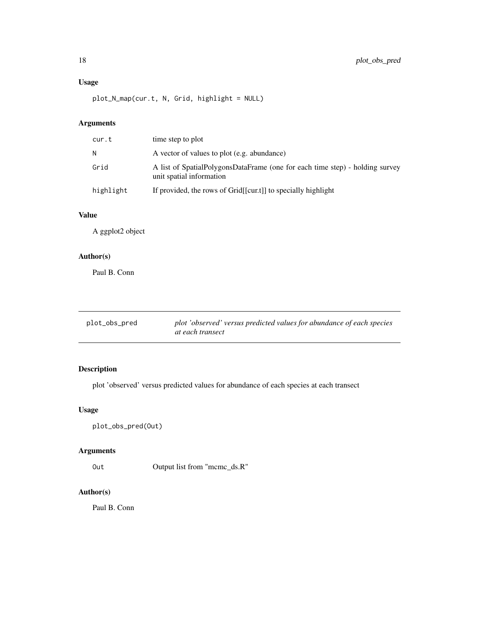#### <span id="page-17-0"></span>Usage

plot\_N\_map(cur.t, N, Grid, highlight = NULL)

#### Arguments

| cur.t     | time step to plot                                                                                        |
|-----------|----------------------------------------------------------------------------------------------------------|
| N         | A vector of values to plot (e.g. abundance)                                                              |
| Grid      | A list of SpatialPolygonsDataFrame (one for each time step) - holding survey<br>unit spatial information |
| highlight | If provided, the rows of Grid[[cur.t]] to specially highlight                                            |

#### Value

A ggplot2 object

#### Author(s)

Paul B. Conn

| plot_obs_pred | plot 'observed' versus predicted values for abundance of each species |
|---------------|-----------------------------------------------------------------------|
|               | at each transect                                                      |

#### Description

plot 'observed' versus predicted values for abundance of each species at each transect

#### Usage

plot\_obs\_pred(Out)

#### Arguments

Out Output list from "mcmc\_ds.R"

#### Author(s)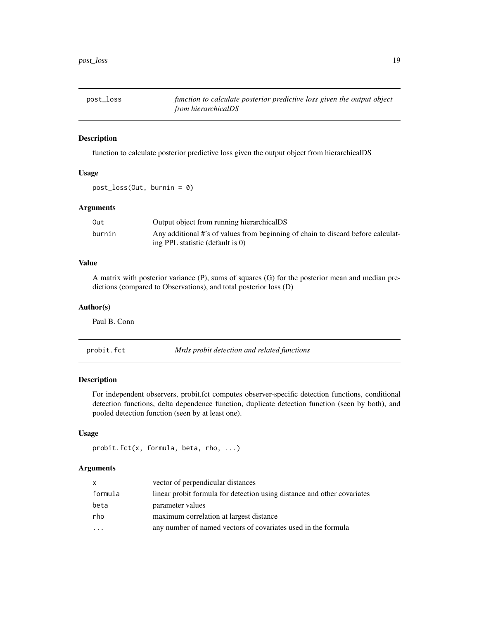<span id="page-18-0"></span>

#### Description

function to calculate posterior predictive loss given the output object from hierarchicalDS

#### Usage

post\_loss(Out, burnin = 0)

#### Arguments

| Out    | Output object from running hierarchicalDS                                        |
|--------|----------------------------------------------------------------------------------|
| burnin | Any additional #'s of values from beginning of chain to discard before calculat- |
|        | ing PPL statistic (default is $\theta$ )                                         |

#### Value

A matrix with posterior variance (P), sums of squares (G) for the posterior mean and median predictions (compared to Observations), and total posterior loss (D)

#### Author(s)

Paul B. Conn

probit.fct *Mrds probit detection and related functions*

#### Description

For independent observers, probit.fct computes observer-specific detection functions, conditional detection functions, delta dependence function, duplicate detection function (seen by both), and pooled detection function (seen by at least one).

#### Usage

```
probit.fct(x, formula, beta, rho, ...)
```
#### Arguments

| x.                      | vector of perpendicular distances                                       |
|-------------------------|-------------------------------------------------------------------------|
| formula                 | linear probit formula for detection using distance and other covariates |
| beta                    | parameter values                                                        |
| rho                     | maximum correlation at largest distance                                 |
| $\cdot$ $\cdot$ $\cdot$ | any number of named vectors of covariates used in the formula           |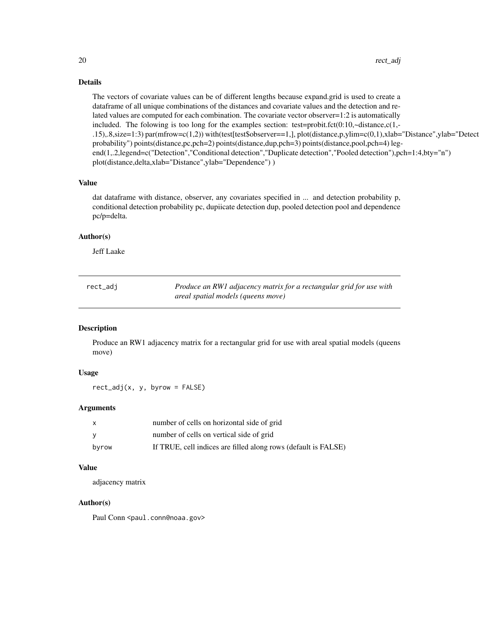#### <span id="page-19-0"></span>Details

The vectors of covariate values can be of different lengths because expand.grid is used to create a dataframe of all unique combinations of the distances and covariate values and the detection and related values are computed for each combination. The covariate vector observer=1:2 is automatically included. The folowing is too long for the examples section: test=probit.fct $(0:10, \sim \text{distance}, c(1, -1))$ .15),.8,size=1:3) par(mfrow=c(1,2)) with(test[test\$observer==1,], plot(distance,p,ylim=c(0,1),xlab="Distance",ylab="Detect probability") points(distance,pc,pch=2) points(distance,dup,pch=3) points(distance,pool,pch=4) legend(1,.2,legend=c("Detection","Conditional detection","Duplicate detection","Pooled detection"),pch=1:4,bty="n") plot(distance,delta,xlab="Distance",ylab="Dependence") )

#### Value

dat dataframe with distance, observer, any covariates specified in ... and detection probability p, conditional detection probability pc, dupiicate detection dup, pooled detection pool and dependence pc/p=delta.

#### Author(s)

Jeff Laake

| rect_adj | Produce an RW1 adjacency matrix for a rectangular grid for use with |
|----------|---------------------------------------------------------------------|
|          | areal spatial models (queens move)                                  |

#### Description

Produce an RW1 adjacency matrix for a rectangular grid for use with areal spatial models (queens move)

#### Usage

 $rect\_adj(x, y, byrow = FALSE)$ 

#### Arguments

| X     | number of cells on horizontal side of grid                     |
|-------|----------------------------------------------------------------|
| v     | number of cells on vertical side of grid                       |
| byrow | If TRUE, cell indices are filled along rows (default is FALSE) |

#### Value

adjacency matrix

#### Author(s)

Paul Conn <paul.conn@noaa.gov>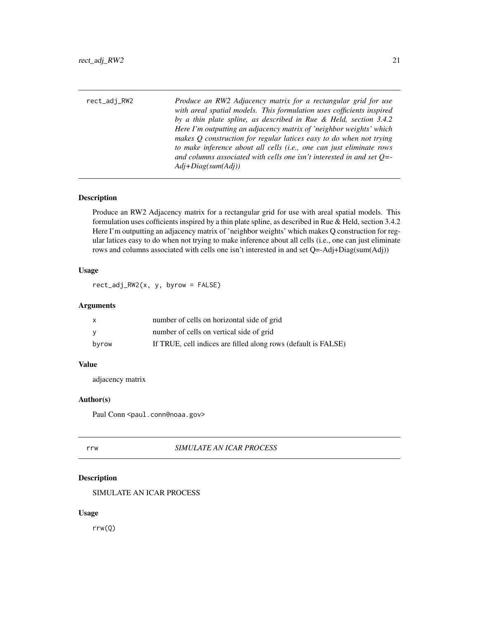<span id="page-20-0"></span>

| rect_adj_RW2 | Produce an RW2 Adjacency matrix for a rectangular grid for use                                                                             |
|--------------|--------------------------------------------------------------------------------------------------------------------------------------------|
|              | with areal spatial models. This formulation uses cofficients inspired<br>by a thin plate spline, as described in Rue & Held, section 3.4.2 |
|              | Here I'm outputting an adjacency matrix of 'neighbor weights' which                                                                        |
|              | makes $Q$ construction for regular latices easy to do when not trying                                                                      |

*to make inference about all cells (i.e., one can just eliminate rows and columns associated with cells one isn't interested in and set Q=- Adj+Diag(sum(Adj))*

#### Description

Produce an RW2 Adjacency matrix for a rectangular grid for use with areal spatial models. This formulation uses cofficients inspired by a thin plate spline, as described in Rue & Held, section 3.4.2 Here I'm outputting an adjacency matrix of 'neighbor weights' which makes Q construction for regular latices easy to do when not trying to make inference about all cells (i.e., one can just eliminate rows and columns associated with cells one isn't interested in and set Q=-Adj+Diag(sum(Adj))

#### Usage

rect\_adj\_RW2(x, y, byrow = FALSE)

#### Arguments

| x     | number of cells on horizontal side of grid                     |
|-------|----------------------------------------------------------------|
| ۷     | number of cells on vertical side of grid                       |
| byrow | If TRUE, cell indices are filled along rows (default is FALSE) |

#### Value

adjacency matrix

#### Author(s)

Paul Conn <paul.conn@noaa.gov>

#### rrw *SIMULATE AN ICAR PROCESS*

#### Description

SIMULATE AN ICAR PROCESS

#### Usage

rrw(Q)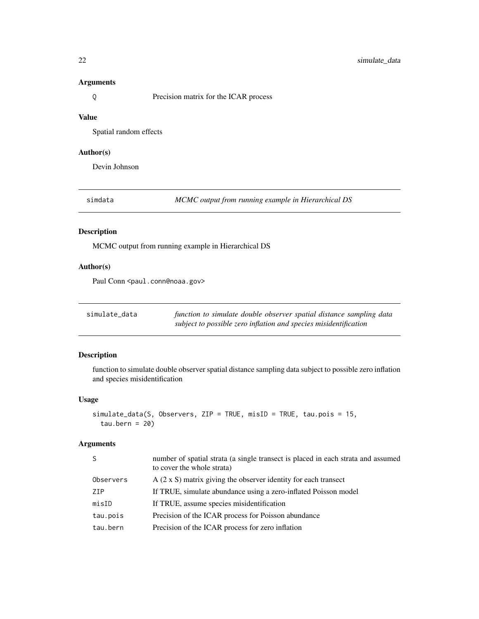#### <span id="page-21-0"></span>Arguments

Q Precision matrix for the ICAR process

#### Value

Spatial random effects

#### Author(s)

Devin Johnson

simdata *MCMC output from running example in Hierarchical DS*

#### Description

MCMC output from running example in Hierarchical DS

#### Author(s)

Paul Conn <paul.conn@noaa.gov>

| simulate_data | function to simulate double observer spatial distance sampling data |
|---------------|---------------------------------------------------------------------|
|               | subject to possible zero inflation and species misidentification    |

#### Description

function to simulate double observer spatial distance sampling data subject to possible zero inflation and species misidentification

#### Usage

```
simulate_data(S, Observers, ZIP = TRUE, misID = TRUE, tau.pois = 15,
tau.bern = 20)
```
#### Arguments

| -S        | number of spatial strata (a single transect is placed in each strata and assumed<br>to cover the whole strata) |
|-----------|----------------------------------------------------------------------------------------------------------------|
| Observers | $A$ (2 x S) matrix giving the observer identity for each transect                                              |
| ZIP       | If TRUE, simulate abundance using a zero-inflated Poisson model                                                |
| misID     | If TRUE, assume species misidentification                                                                      |
| tau.pois  | Precision of the ICAR process for Poisson abundance                                                            |
| tau.bern  | Precision of the ICAR process for zero inflation                                                               |
|           |                                                                                                                |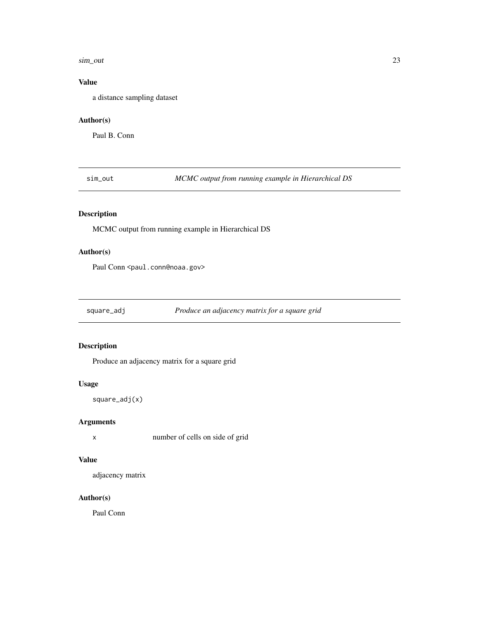#### <span id="page-22-0"></span>sim\_out 23

#### Value

a distance sampling dataset

#### Author(s)

Paul B. Conn

sim\_out *MCMC output from running example in Hierarchical DS*

#### Description

MCMC output from running example in Hierarchical DS

#### Author(s)

Paul Conn <paul.conn@noaa.gov>

square\_adj *Produce an adjacency matrix for a square grid*

#### Description

Produce an adjacency matrix for a square grid

#### Usage

square\_adj(x)

#### Arguments

x number of cells on side of grid

#### Value

adjacency matrix

#### Author(s)

Paul Conn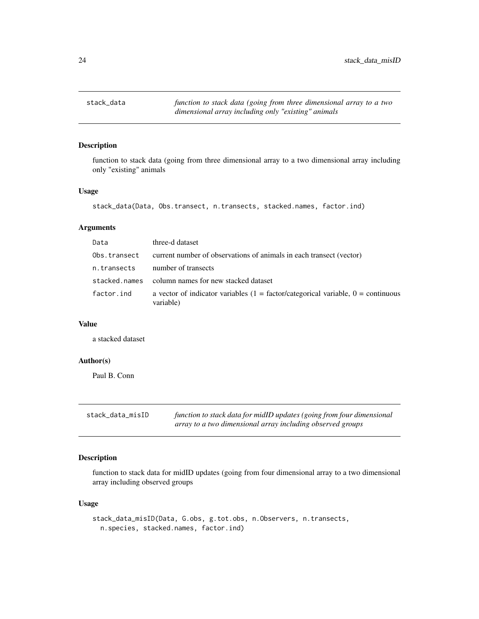<span id="page-23-0"></span>

#### Description

function to stack data (going from three dimensional array to a two dimensional array including only "existing" animals

#### Usage

```
stack_data(Data, Obs.transect, n.transects, stacked.names, factor.ind)
```
#### Arguments

| Data         | three-d dataset                                                                                 |
|--------------|-------------------------------------------------------------------------------------------------|
| Obs.transect | current number of observations of animals in each transect (vector)                             |
| n.transects  | number of transects                                                                             |
|              | stacked.names column names for new stacked dataset                                              |
| factor.ind   | a vector of indicator variables $(1 = factor/categorical variable, 0 = continuous$<br>variable) |

#### Value

a stacked dataset

#### Author(s)

Paul B. Conn

| stack_data_misID | function to stack data for midID updates (going from four dimensional |
|------------------|-----------------------------------------------------------------------|
|                  | array to a two dimensional array including observed groups            |

#### Description

function to stack data for midID updates (going from four dimensional array to a two dimensional array including observed groups

#### Usage

```
stack_data_misID(Data, G.obs, g.tot.obs, n.Observers, n.transects,
n.species, stacked.names, factor.ind)
```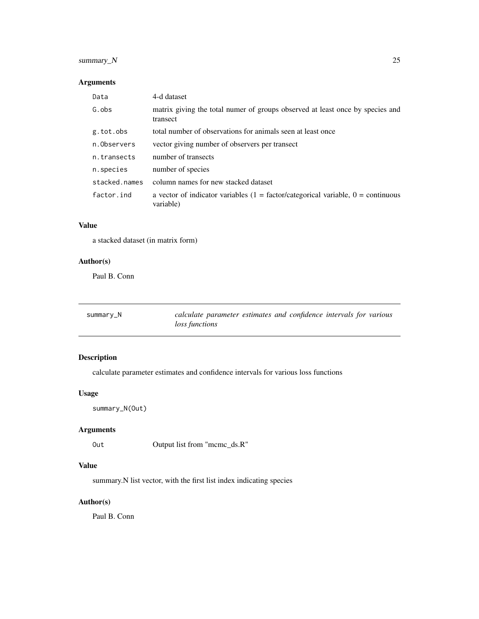#### <span id="page-24-0"></span>summary\_N 25

#### Arguments

| Data          | 4-d dataset                                                                                     |
|---------------|-------------------------------------------------------------------------------------------------|
| G.obs         | matrix giving the total numer of groups observed at least once by species and<br>transect       |
| g.tot.obs     | total number of observations for animals seen at least once                                     |
| n.Observers   | vector giving number of observers per transect                                                  |
| n.transects   | number of transects                                                                             |
| n.species     | number of species                                                                               |
| stacked.names | column names for new stacked dataset                                                            |
| factor.ind    | a vector of indicator variables $(1 = factor/categorical variable, 0 = continuous$<br>variable) |

#### Value

a stacked dataset (in matrix form)

#### Author(s)

Paul B. Conn

| summary_N | calculate parameter estimates and confidence intervals for various |  |  |  |
|-----------|--------------------------------------------------------------------|--|--|--|
|           | <i>loss functions</i>                                              |  |  |  |

#### Description

calculate parameter estimates and confidence intervals for various loss functions

#### Usage

summary\_N(Out)

#### Arguments

Out Output list from "mcmc\_ds.R"

#### Value

summary.N list vector, with the first list index indicating species

#### Author(s)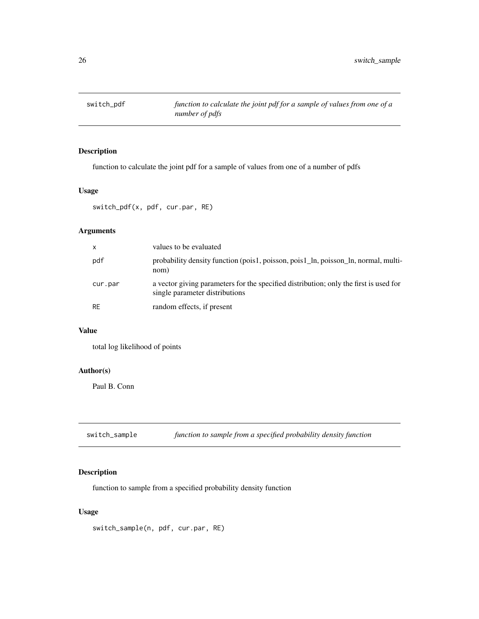<span id="page-25-0"></span>

### Description

function to calculate the joint pdf for a sample of values from one of a number of pdfs

#### Usage

switch\_pdf(x, pdf, cur.par, RE)

#### Arguments

| x         | values to be evaluated                                                                                                  |
|-----------|-------------------------------------------------------------------------------------------------------------------------|
| pdf       | probability density function (pois1, poisson, pois1_ln, poisson_ln, normal, multi-<br>nom)                              |
| cur.par   | a vector giving parameters for the specified distribution; only the first is used for<br>single parameter distributions |
| <b>RE</b> | random effects, if present                                                                                              |

#### Value

total log likelihood of points

#### Author(s)

Paul B. Conn

switch\_sample *function to sample from a specified probability density function*

#### Description

function to sample from a specified probability density function

#### Usage

switch\_sample(n, pdf, cur.par, RE)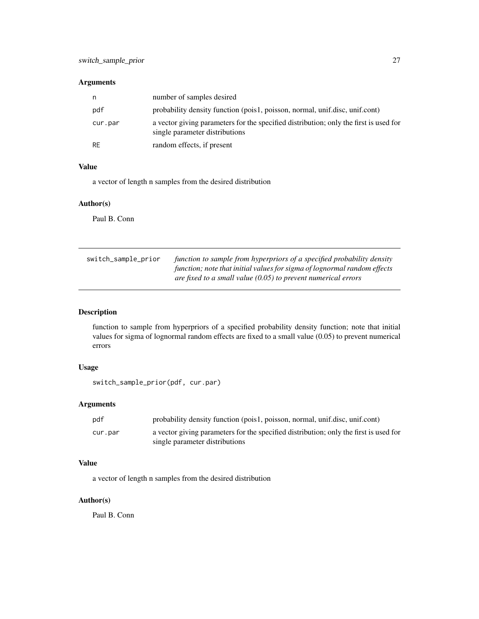#### <span id="page-26-0"></span>Arguments

| n         | number of samples desired                                                                                               |
|-----------|-------------------------------------------------------------------------------------------------------------------------|
| pdf       | probability density function (pois1, poisson, normal, unif.disc, unif.cont)                                             |
| cur.par   | a vector giving parameters for the specified distribution; only the first is used for<br>single parameter distributions |
| <b>RE</b> | random effects, if present                                                                                              |

#### Value

a vector of length n samples from the desired distribution

#### Author(s)

Paul B. Conn

| switch_sample_prior | function to sample from hyperpriors of a specified probability density   |
|---------------------|--------------------------------------------------------------------------|
|                     | function; note that initial values for sigma of lognormal random effects |
|                     | are fixed to a small value (0.05) to prevent numerical errors            |

#### Description

function to sample from hyperpriors of a specified probability density function; note that initial values for sigma of lognormal random effects are fixed to a small value (0.05) to prevent numerical errors

#### Usage

```
switch_sample_prior(pdf, cur.par)
```
#### Arguments

| pdf     | probability density function (pois1, poisson, normal, unif.disc, unif.cont)                                             |
|---------|-------------------------------------------------------------------------------------------------------------------------|
| cur.par | a vector giving parameters for the specified distribution; only the first is used for<br>single parameter distributions |

#### Value

a vector of length n samples from the desired distribution

#### Author(s)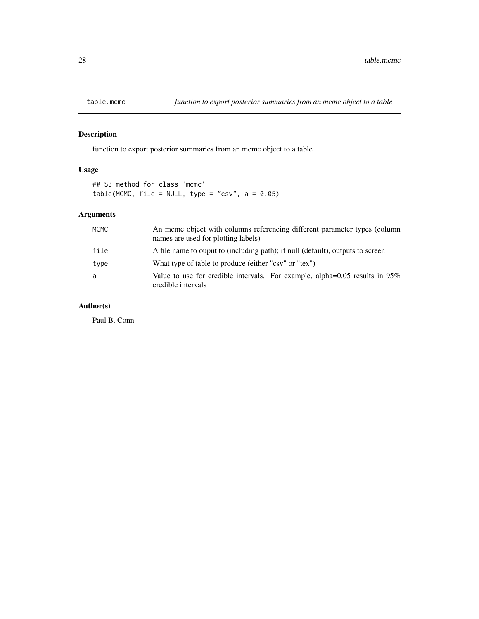<span id="page-27-0"></span>

#### Description

function to export posterior summaries from an mcmc object to a table

#### Usage

## S3 method for class 'mcmc' table(MCMC, file = NULL, type = "csv",  $a = 0.05$ )

#### Arguments

| <b>MCMC</b> | An mome object with columns referencing different parameter types (column<br>names are used for plotting labels) |
|-------------|------------------------------------------------------------------------------------------------------------------|
| file        | A file name to ouput to (including path); if null (default), outputs to screen                                   |
| type        | What type of table to produce (either "csv" or "tex")                                                            |
| a           | Value to use for credible intervals. For example, alpha= $0.05$ results in $95\%$<br>credible intervals          |

#### Author(s)